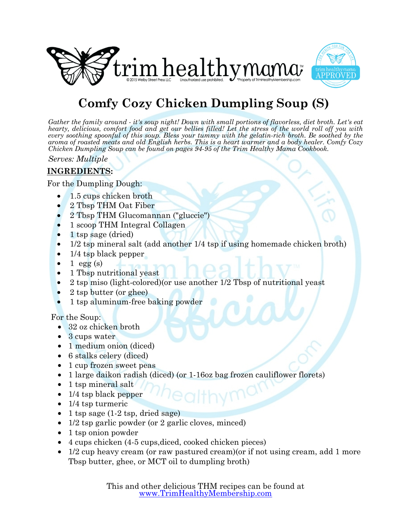



## **Comfy Cozy Chicken Dumpling Soup (S)**

*Gather the family around - it's soup night! Down with small portions of flavorless, diet broth. Let's eat hearty, delicious, comfort food and get our bellies filled! Let the stress of the world roll off you with every soothing spoonful of this soup. Bless your tummy with the gelatin-rich broth. Be soothed by the aroma of roasted meats and old English herbs. This is a heart warmer and a body healer. Comfy Cozy Chicken Dumpling Soup can be found on pages 94-95 of the Trim Healthy Mama Cookbook.*

*Serves: Multiple*

### **INGREDIENTS:**

For the Dumpling Dough:

- 1.5 cups chicken broth
- 2 Tbsp THM Oat Fiber
- 2 Tbsp THM Glucomannan ("gluccie")
- 1 scoop THM Integral Collagen
- 1 tsp sage (dried)
- 1/2 tsp mineral salt (add another 1/4 tsp if using homemade chicken broth)
- 1/4 tsp black pepper
- 1 egg  $(s)$
- 1 Tbsp nutritional yeast
- 2 tsp miso (light-colored)(or use another 1/2 Tbsp of nutritional yeast
- 2 tsp butter (or ghee)
- 1 tsp aluminum-free baking powder

For the Soup:

- 32 oz chicken broth
- 3 cups water
- 1 medium onion (diced)
- 6 stalks celery (diced)
- 1 cup frozen sweet peas
- 1 large daikon radish (diced) (or 1-16oz bag frozen cauliflower florets)
- 1 tsp mineral salt
- 1/4 tsp black pepper
- 1/4 tsp turmeric
- 1 tsp sage (1-2 tsp, dried sage)
- 1/2 tsp garlic powder (or 2 garlic cloves, minced)
- 1 tsp onion powder
- 4 cups chicken (4-5 cups,diced, cooked chicken pieces)
- 1/2 cup heavy cream (or raw pastured cream) (or if not using cream, add 1 more Tbsp butter, ghee, or MCT oil to dumpling broth)

This and other delicious THM recipes can be found at [www.TrimHealthyMembership.com](http://www.TrimHealthyMembership.com)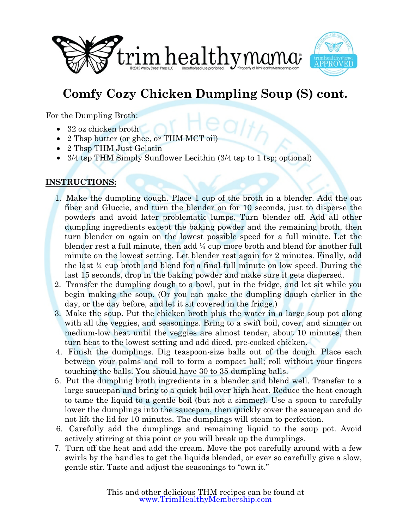



# **Comfy Cozy Chicken Dumpling Soup (S) cont.**

For the Dumpling Broth:

- 32 oz chicken broth
- 2 Tbsp butter (or ghee, or THM MCT oil)
- 2 Tbsp THM Just Gelatin
- $3/4$  tsp THM Simply Sunflower Lecithin  $(3/4 \text{ tsp to } 1 \text{ tsp; optional})$

### **INSTRUCTIONS:**

- 1. Make the dumpling dough. Place 1 cup of the broth in a blender. Add the oat fiber and Gluccie, and turn the blender on for 10 seconds, just to disperse the powders and avoid later problematic lumps. Turn blender off. Add all other dumpling ingredients except the baking powder and the remaining broth, then turn blender on again on the lowest possible speed for a full minute. Let the blender rest a full minute, then add ¼ cup more broth and blend for another full minute on the lowest setting. Let blender rest again for 2 minutes. Finally, add the last  $\frac{1}{4}$  cup broth and blend for a final full minute on low speed. During the last 15 seconds, drop in the baking powder and make sure it gets dispersed.
- 2. Transfer the dumpling dough to a bowl, put in the fridge, and let sit while you begin making the soup. (Or you can make the dumpling dough earlier in the day, or the day before, and let it sit covered in the fridge.)
- 3. Make the soup. Put the chicken broth plus the water in a large soup pot along with all the veggies, and seasonings. Bring to a swift boil, cover, and simmer on medium-low heat until the veggies are almost tender, about 10 minutes, then turn heat to the lowest setting and add diced, pre-cooked chicken.
- 4. Finish the dumplings. Dig teaspoon-size balls out of the dough. Place each between your palms and roll to form a compact ball; roll without your fingers touching the balls. You should have 30 to 35 dumpling balls.
- 5. Put the dumpling broth ingredients in a blender and blend well. Transfer to a large saucepan and bring to a quick boil over high heat. Reduce the heat enough to tame the liquid to a gentle boil (but not a simmer). Use a spoon to carefully lower the dumplings into the saucepan, then quickly cover the saucepan and do not lift the lid for 10 minutes. The dumplings will steam to perfection.
- 6. Carefully add the dumplings and remaining liquid to the soup pot. Avoid actively stirring at this point or you will break up the dumplings.
- 7. Turn off the heat and add the cream. Move the pot carefully around with a few swirls by the handles to get the liquids blended, or ever so carefully give a slow, gentle stir. Taste and adjust the seasonings to "own it."